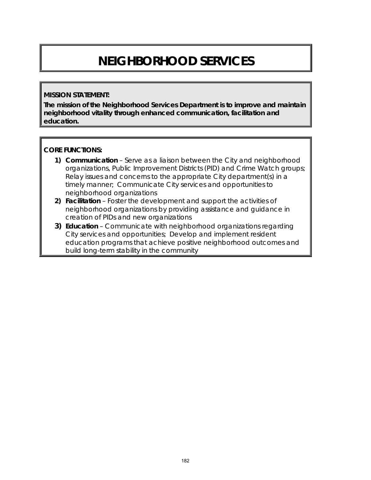# **NEIGHBORHOOD SERVICES**

#### **MISSION STATEMENT:**

**The mission of the Neighborhood Services Department is to improve and maintain neighborhood vitality through enhanced communication, facilitation and education.** 

#### **CORE FUNCTIONS:**

- **1) Communication**  Serve as a liaison between the City and neighborhood organizations, Public Improvement Districts (PID) and Crime Watch groups; Relay issues and concerns to the appropriate City department(s) in a timely manner; Communicate City services and opportunities to neighborhood organizations
- **2) Facilitation**  Foster the development and support the activities of neighborhood organizations by providing assistance and guidance in creation of PIDs and new organizations
- **3) Education** Communicate with neighborhood organizations regarding City services and opportunities; Develop and implement resident education programs that achieve positive neighborhood outcomes and build long-term stability in the community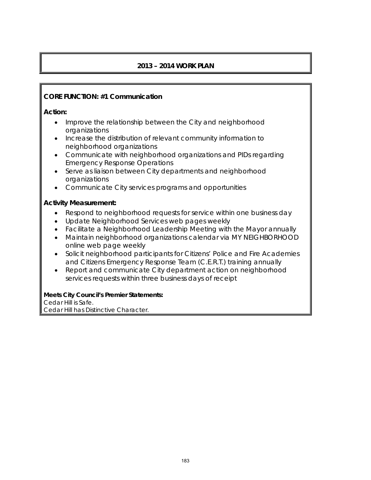## **2013 – 2014 WORK PLAN**

## **CORE FUNCTION: #1 Communication**

**Action:** 

- Improve the relationship between the City and neighborhood organizations
- Increase the distribution of relevant community information to neighborhood organizations
- Communicate with neighborhood organizations and PIDs regarding Emergency Response Operations
- Serve as liaison between City departments and neighborhood organizations
- Communicate City services programs and opportunities

## **Activity Measurement:**

- Respond to neighborhood requests for service within one business day
- Update Neighborhood Services web pages weekly
- Facilitate a Neighborhood Leadership Meeting with the Mayor annually
- Maintain neighborhood organizations calendar via MY NEIGHBORHOOD *online* web page weekly
- Solicit neighborhood participants for Citizens' Police and Fire Academies and Citizens Emergency Response Team (C.E.R.T.) training annually
- Report and communicate City department action on neighborhood services requests within three business days of receipt

**Meets City Council's Premier Statements:**  Cedar Hill is Safe. Cedar Hill has Distinctive Character.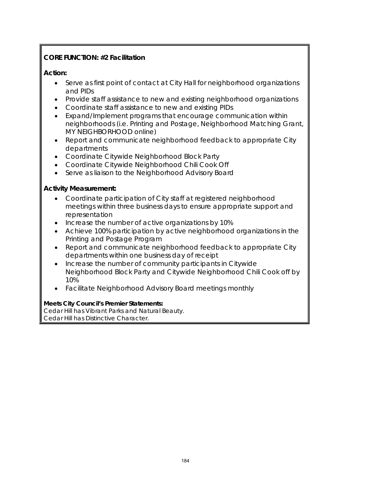# **CORE FUNCTION: #2 Facilitation**

## **Action:**

- Serve as first point of contact at City Hall for neighborhood organizations and PIDs
- Provide staff assistance to new and existing neighborhood organizations
- Coordinate staff assistance to new and existing PIDs
- Expand/Implement programs that encourage communication within neighborhoods (i.e. Printing and Postage, Neighborhood Matching Grant, MY NEIGHBORHOOD online)
- Report and communicate neighborhood feedback to appropriate City departments
- Coordinate Citywide Neighborhood Block Party
- Coordinate Citywide Neighborhood Chili Cook Off
- Serve as liaison to the Neighborhood Advisory Board

## **Activity Measurement:**

- Coordinate participation of City staff at registered neighborhood meetings within three business days to ensure appropriate support and representation
- Increase the number of active organizations by 10%
- Achieve 100% participation by active neighborhood organizations in the Printing and Postage Program
- Report and communicate neighborhood feedback to appropriate City departments within one business day of receipt
- Increase the number of community participants in Citywide Neighborhood Block Party and Citywide Neighborhood Chili Cook off by 10%
- Facilitate Neighborhood Advisory Board meetings monthly

### **Meets City Council's Premier Statements:**

Cedar Hill has Vibrant Parks and Natural Beauty. Cedar Hill has Distinctive Character.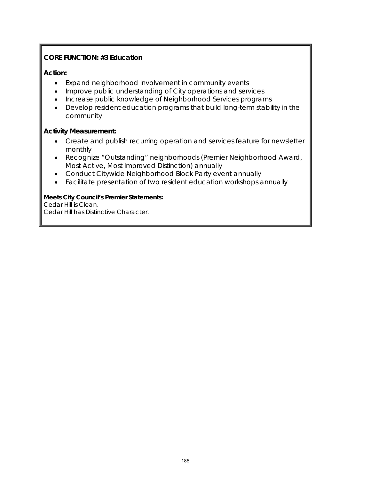## **CORE FUNCTION: #3 Education**

#### **Action:**

- Expand neighborhood involvement in community events
- Improve public understanding of City operations and services
- Increase public knowledge of Neighborhood Services programs
- Develop resident education programs that build long-term stability in the community

#### **Activity Measurement:**

- Create and publish recurring operation and services feature for newsletter monthly
- Recognize "Outstanding" neighborhoods (Premier Neighborhood Award, Most Active, Most Improved Distinction) annually
- Conduct Citywide Neighborhood Block Party event annually
- Facilitate presentation of two resident education workshops annually

#### **Meets City Council's Premier Statements:**

Cedar Hill is Clean.

Cedar Hill has Distinctive Character.